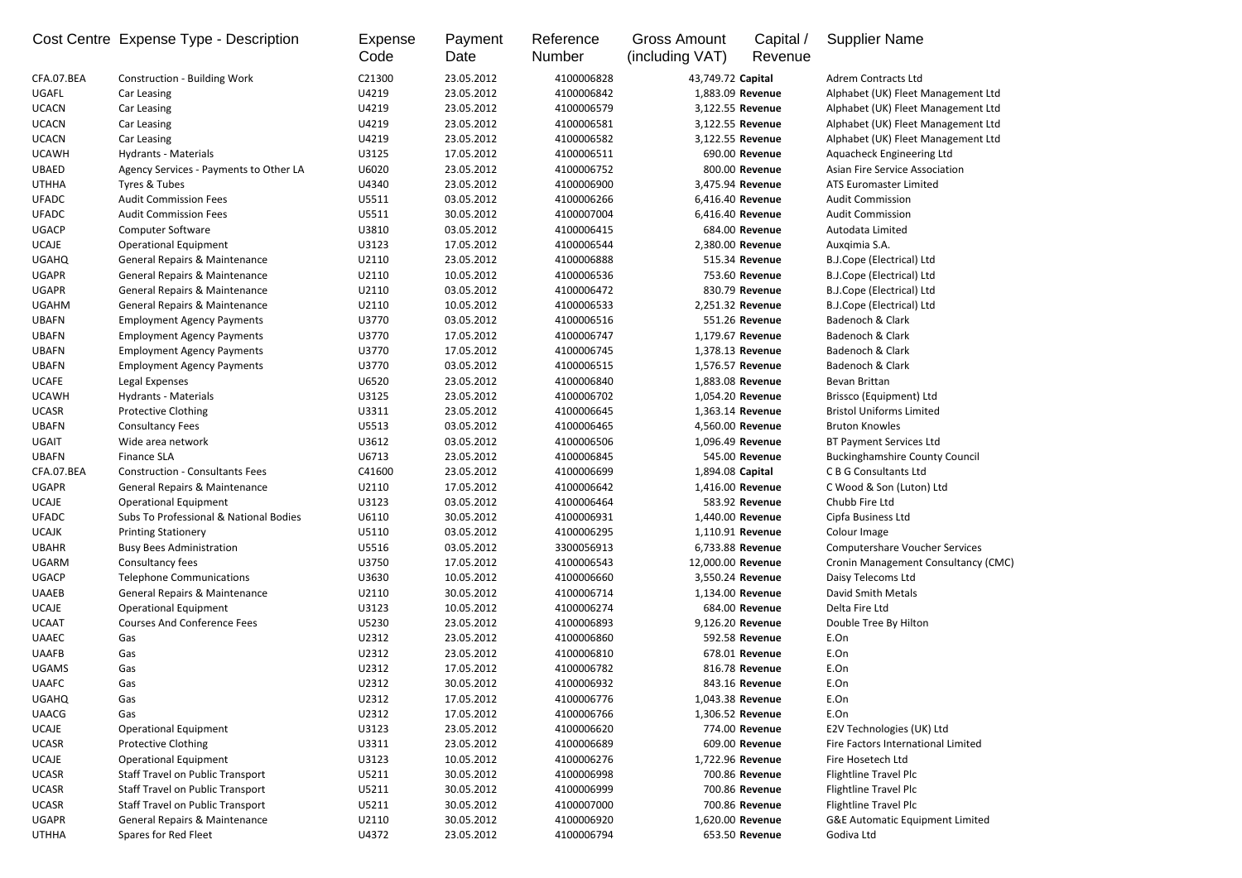|              | Cost Centre Expense Type - Description   | <b>Expense</b><br>Code | Payment<br>Date | Reference<br><b>Number</b> | <b>Gross Amount</b><br>(including VAT) | Capital /<br>Revenue | <b>Supplier Name</b>                       |
|--------------|------------------------------------------|------------------------|-----------------|----------------------------|----------------------------------------|----------------------|--------------------------------------------|
| CFA.07.BEA   | <b>Construction - Building Work</b>      | C21300                 | 23.05.2012      | 4100006828                 | 43,749.72 Capital                      |                      | <b>Adrem Contracts Ltd</b>                 |
| UGAFL        | Car Leasing                              | U4219                  | 23.05.2012      | 4100006842                 | 1,883.09 Revenue                       |                      | Alphabet (UK) Fleet Management Ltd         |
| <b>UCACN</b> | Car Leasing                              | U4219                  | 23.05.2012      | 4100006579                 | 3,122.55 Revenue                       |                      | Alphabet (UK) Fleet Management Ltd         |
| <b>UCACN</b> | Car Leasing                              | U4219                  | 23.05.2012      | 4100006581                 | 3,122.55 Revenue                       |                      | Alphabet (UK) Fleet Management Ltd         |
| <b>UCACN</b> | Car Leasing                              | U4219                  | 23.05.2012      | 4100006582                 | 3,122.55 Revenue                       |                      | Alphabet (UK) Fleet Management Ltd         |
| <b>UCAWH</b> | <b>Hydrants - Materials</b>              | U3125                  | 17.05.2012      | 4100006511                 |                                        | 690.00 Revenue       | Aquacheck Engineering Ltd                  |
| <b>UBAED</b> | Agency Services - Payments to Other LA   | U6020                  | 23.05.2012      | 4100006752                 |                                        | 800.00 Revenue       | Asian Fire Service Association             |
| <b>UTHHA</b> | Tyres & Tubes                            | U4340                  | 23.05.2012      | 4100006900                 | 3,475.94 Revenue                       |                      | <b>ATS Euromaster Limited</b>              |
| <b>UFADC</b> | <b>Audit Commission Fees</b>             | U5511                  | 03.05.2012      | 4100006266                 | 6,416.40 Revenue                       |                      | <b>Audit Commission</b>                    |
| <b>UFADC</b> | <b>Audit Commission Fees</b>             | U5511                  | 30.05.2012      | 4100007004                 | 6,416.40 Revenue                       |                      | <b>Audit Commission</b>                    |
| <b>UGACP</b> | <b>Computer Software</b>                 | U3810                  | 03.05.2012      | 4100006415                 |                                        | 684.00 Revenue       | Autodata Limited                           |
| <b>UCAJE</b> | <b>Operational Equipment</b>             | U3123                  | 17.05.2012      | 4100006544                 | 2,380.00 Revenue                       |                      | Auxqimia S.A.                              |
| <b>UGAHQ</b> | <b>General Repairs &amp; Maintenance</b> | U2110                  | 23.05.2012      | 4100006888                 |                                        | 515.34 Revenue       | <b>B.J.Cope (Electrical) Ltd</b>           |
| <b>UGAPR</b> | <b>General Repairs &amp; Maintenance</b> | U2110                  | 10.05.2012      | 4100006536                 |                                        | 753.60 Revenue       | B.J.Cope (Electrical) Ltd                  |
| <b>UGAPR</b> | General Repairs & Maintenance            | U2110                  | 03.05.2012      | 4100006472                 |                                        | 830.79 Revenue       | <b>B.J.Cope (Electrical) Ltd</b>           |
| <b>UGAHM</b> | <b>General Repairs &amp; Maintenance</b> | U2110                  | 10.05.2012      | 4100006533                 | 2,251.32 Revenue                       |                      | <b>B.J.Cope (Electrical) Ltd</b>           |
| <b>UBAFN</b> | <b>Employment Agency Payments</b>        | U3770                  | 03.05.2012      | 4100006516                 |                                        | 551.26 Revenue       | Badenoch & Clark                           |
| <b>UBAFN</b> | <b>Employment Agency Payments</b>        | U3770                  | 17.05.2012      | 4100006747                 | 1,179.67 Revenue                       |                      | Badenoch & Clark                           |
| <b>UBAFN</b> | <b>Employment Agency Payments</b>        | U3770                  | 17.05.2012      | 4100006745                 | 1,378.13 Revenue                       |                      | Badenoch & Clark                           |
| <b>UBAFN</b> | <b>Employment Agency Payments</b>        | U3770                  | 03.05.2012      | 4100006515                 | 1,576.57 Revenue                       |                      | Badenoch & Clark                           |
| <b>UCAFE</b> | Legal Expenses                           | U6520                  | 23.05.2012      | 4100006840                 | 1,883.08 Revenue                       |                      | Bevan Brittan                              |
| <b>UCAWH</b> | Hydrants - Materials                     | U3125                  | 23.05.2012      | 4100006702                 | 1,054.20 Revenue                       |                      | Brissco (Equipment) Ltd                    |
| <b>UCASR</b> | <b>Protective Clothing</b>               | U3311                  | 23.05.2012      | 4100006645                 | 1,363.14 Revenue                       |                      | <b>Bristol Uniforms Limited</b>            |
| <b>UBAFN</b> | <b>Consultancy Fees</b>                  | U5513                  | 03.05.2012      | 4100006465                 | 4,560.00 Revenue                       |                      | <b>Bruton Knowles</b>                      |
| <b>UGAIT</b> | Wide area network                        | U3612                  | 03.05.2012      | 4100006506                 | 1,096.49 Revenue                       |                      | <b>BT Payment Services Ltd</b>             |
| <b>UBAFN</b> | <b>Finance SLA</b>                       | U6713                  | 23.05.2012      | 4100006845                 |                                        | 545.00 Revenue       | <b>Buckinghamshire County Council</b>      |
| CFA.07.BEA   | <b>Construction - Consultants Fees</b>   | C41600                 | 23.05.2012      | 4100006699                 | 1,894.08 Capital                       |                      | <b>CBG</b> Consultants Ltd                 |
| <b>UGAPR</b> | <b>General Repairs &amp; Maintenance</b> | U2110                  | 17.05.2012      | 4100006642                 | 1,416.00 Revenue                       |                      | C Wood & Son (Luton) Ltd                   |
| <b>UCAJE</b> | <b>Operational Equipment</b>             | U3123                  | 03.05.2012      | 4100006464                 |                                        | 583.92 Revenue       | Chubb Fire Ltd                             |
| <b>UFADC</b> | Subs To Professional & National Bodies   | U6110                  | 30.05.2012      | 4100006931                 | 1,440.00 Revenue                       |                      | Cipfa Business Ltd                         |
| <b>UCAJK</b> | <b>Printing Stationery</b>               | U5110                  | 03.05.2012      | 4100006295                 | 1,110.91 Revenue                       |                      | Colour Image                               |
| <b>UBAHR</b> | <b>Busy Bees Administration</b>          | U5516                  | 03.05.2012      | 3300056913                 | 6,733.88 Revenue                       |                      | <b>Computershare Voucher Services</b>      |
| <b>UGARM</b> | Consultancy fees                         | U3750                  | 17.05.2012      | 4100006543                 | 12,000.00 Revenue                      |                      | Cronin Management Consultancy (CMC)        |
| <b>UGACP</b> | <b>Telephone Communications</b>          | U3630                  | 10.05.2012      | 4100006660                 | 3,550.24 Revenue                       |                      | Daisy Telecoms Ltd                         |
| <b>UAAEB</b> | General Repairs & Maintenance            | U2110                  | 30.05.2012      | 4100006714                 | 1,134.00 Revenue                       |                      | David Smith Metals                         |
| <b>UCAJE</b> | <b>Operational Equipment</b>             | U3123                  | 10.05.2012      | 4100006274                 |                                        | 684.00 Revenue       | Delta Fire Ltd                             |
| <b>UCAAT</b> | <b>Courses And Conference Fees</b>       | U5230                  | 23.05.2012      | 4100006893                 | 9,126.20 Revenue                       |                      | Double Tree By Hilton                      |
| <b>UAAEC</b> | Gas                                      | U2312                  | 23.05.2012      | 4100006860                 |                                        | 592.58 Revenue       | E.On                                       |
| <b>UAAFB</b> | Gas                                      | U2312                  | 23.05.2012      | 4100006810                 |                                        | 678.01 Revenue       | E.On                                       |
| <b>UGAMS</b> | Gas                                      | U2312                  | 17.05.2012      | 4100006782                 |                                        | 816.78 Revenue       | E.On                                       |
| <b>UAAFC</b> | Gas                                      | U2312                  | 30.05.2012      | 4100006932                 |                                        | 843.16 Revenue       | E.On                                       |
| <b>UGAHQ</b> | Gas                                      | U2312                  | 17.05.2012      | 4100006776                 | 1,043.38 Revenue                       |                      | E.On                                       |
| <b>UAACG</b> | Gas                                      | U2312                  | 17.05.2012      | 4100006766                 | 1,306.52 Revenue                       |                      | E.On                                       |
| <b>UCAJE</b> | <b>Operational Equipment</b>             | U3123                  | 23.05.2012      | 4100006620                 |                                        | 774.00 Revenue       | E2V Technologies (UK) Ltd                  |
| <b>UCASR</b> | <b>Protective Clothing</b>               | U3311                  | 23.05.2012      | 4100006689                 |                                        | 609.00 Revenue       | Fire Factors International Limited         |
| <b>UCAJE</b> | <b>Operational Equipment</b>             | U3123                  | 10.05.2012      | 4100006276                 | 1,722.96 Revenue                       |                      | Fire Hosetech Ltd                          |
| <b>UCASR</b> | <b>Staff Travel on Public Transport</b>  | U5211                  | 30.05.2012      | 4100006998                 |                                        | 700.86 Revenue       | <b>Flightline Travel Plc</b>               |
| <b>UCASR</b> | <b>Staff Travel on Public Transport</b>  | U5211                  | 30.05.2012      | 4100006999                 |                                        | 700.86 Revenue       | <b>Flightline Travel Plc</b>               |
| <b>UCASR</b> | Staff Travel on Public Transport         | U5211                  | 30.05.2012      | 4100007000                 |                                        | 700.86 Revenue       | Flightline Travel Plc                      |
| <b>UGAPR</b> | General Repairs & Maintenance            | U2110                  | 30.05.2012      | 4100006920                 | 1,620.00 Revenue                       |                      | <b>G&amp;E Automatic Equipment Limited</b> |
| <b>UTHHA</b> | Spares for Red Fleet                     | U4372                  | 23.05.2012      | 4100006794                 |                                        | 653.50 Revenue       | Godiva Ltd                                 |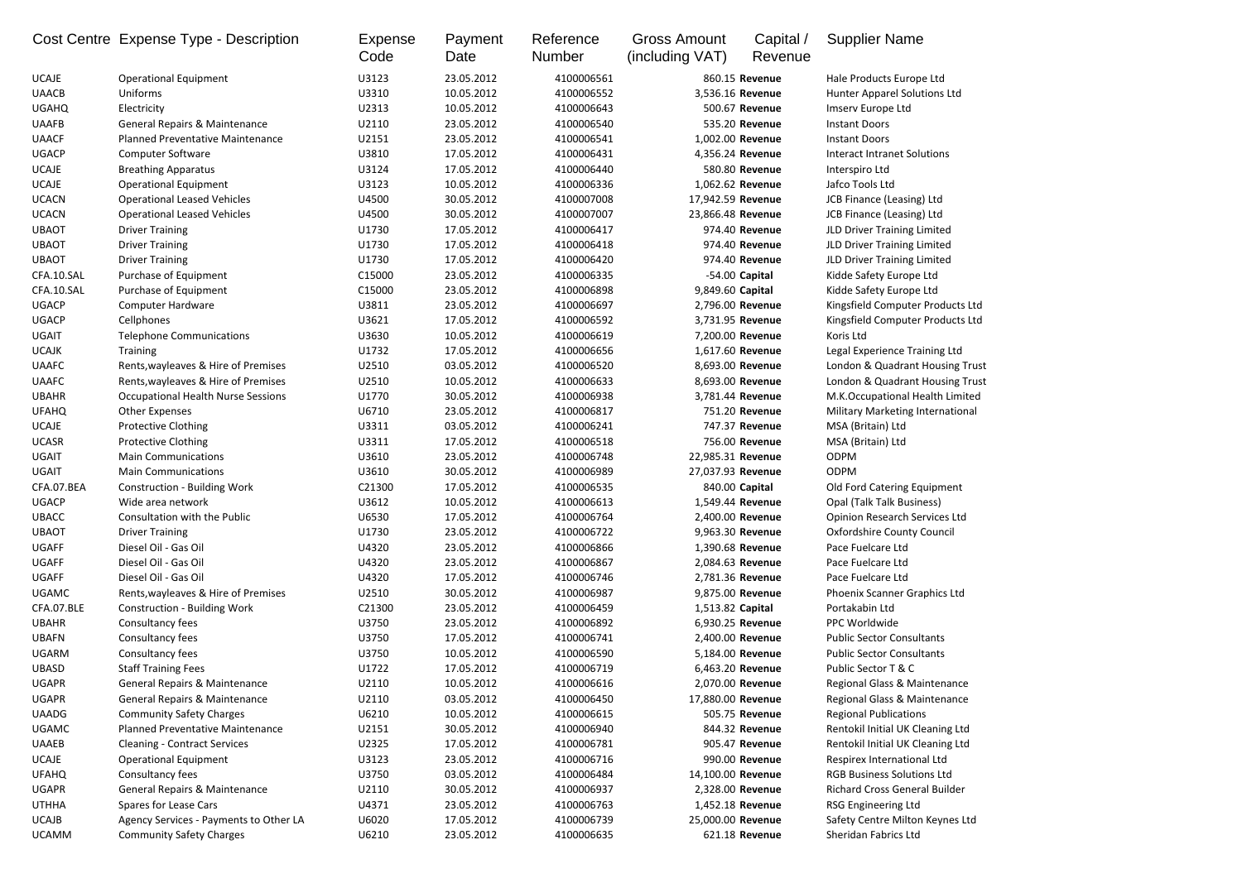|              | Cost Centre Expense Type - Description    | <b>Expense</b><br>Code | Payment<br>Date | Reference<br><b>Number</b> | <b>Gross Amount</b><br>(including VAT) | Capital /<br>Revenue | <b>Supplier Name</b>                 |
|--------------|-------------------------------------------|------------------------|-----------------|----------------------------|----------------------------------------|----------------------|--------------------------------------|
| <b>UCAJE</b> | <b>Operational Equipment</b>              | U3123                  | 23.05.2012      | 4100006561                 |                                        | 860.15 Revenue       | Hale Products Europe Ltd             |
| <b>UAACB</b> | Uniforms                                  | U3310                  | 10.05.2012      | 4100006552                 | 3,536.16 Revenue                       |                      | Hunter Apparel Solutions Ltd         |
| <b>UGAHQ</b> | Electricity                               | U2313                  | 10.05.2012      | 4100006643                 |                                        | 500.67 Revenue       | Imserv Europe Ltd                    |
| <b>UAAFB</b> | General Repairs & Maintenance             | U2110                  | 23.05.2012      | 4100006540                 |                                        | 535.20 Revenue       | <b>Instant Doors</b>                 |
| <b>UAACF</b> | <b>Planned Preventative Maintenance</b>   | U2151                  | 23.05.2012      | 4100006541                 | 1,002.00 Revenue                       |                      | <b>Instant Doors</b>                 |
| <b>UGACP</b> | <b>Computer Software</b>                  | U3810                  | 17.05.2012      | 4100006431                 | 4,356.24 Revenue                       |                      | <b>Interact Intranet Solutions</b>   |
| <b>UCAJE</b> | <b>Breathing Apparatus</b>                | U3124                  | 17.05.2012      | 4100006440                 |                                        | 580.80 Revenue       | Interspiro Ltd                       |
| <b>UCAJE</b> | <b>Operational Equipment</b>              | U3123                  | 10.05.2012      | 4100006336                 | 1,062.62 Revenue                       |                      | Jafco Tools Ltd                      |
| <b>UCACN</b> | <b>Operational Leased Vehicles</b>        | U4500                  | 30.05.2012      | 4100007008                 | 17,942.59 Revenue                      |                      | JCB Finance (Leasing) Ltd            |
| <b>UCACN</b> | <b>Operational Leased Vehicles</b>        | U4500                  | 30.05.2012      | 4100007007                 | 23,866.48 Revenue                      |                      | JCB Finance (Leasing) Ltd            |
| <b>UBAOT</b> | <b>Driver Training</b>                    | U1730                  | 17.05.2012      | 4100006417                 |                                        | 974.40 Revenue       | JLD Driver Training Limited          |
| <b>UBAOT</b> | <b>Driver Training</b>                    | U1730                  | 17.05.2012      | 4100006418                 |                                        | 974.40 Revenue       | JLD Driver Training Limited          |
| <b>UBAOT</b> | <b>Driver Training</b>                    | U1730                  | 17.05.2012      | 4100006420                 |                                        | 974.40 Revenue       | JLD Driver Training Limited          |
| CFA.10.SAL   | Purchase of Equipment                     | C15000                 | 23.05.2012      | 4100006335                 |                                        | -54.00 Capital       | Kidde Safety Europe Ltd              |
| CFA.10.SAL   | Purchase of Equipment                     | C15000                 | 23.05.2012      | 4100006898                 | 9,849.60 Capital                       |                      | Kidde Safety Europe Ltd              |
| <b>UGACP</b> | <b>Computer Hardware</b>                  | U3811                  | 23.05.2012      | 4100006697                 | 2,796.00 Revenue                       |                      | Kingsfield Computer Products Ltd     |
| <b>UGACP</b> | Cellphones                                | U3621                  | 17.05.2012      | 4100006592                 | 3,731.95 Revenue                       |                      | Kingsfield Computer Products Ltd     |
| <b>UGAIT</b> | <b>Telephone Communications</b>           | U3630                  | 10.05.2012      | 4100006619                 | 7,200.00 Revenue                       |                      | Koris Ltd                            |
| <b>UCAJK</b> | <b>Training</b>                           | U1732                  | 17.05.2012      | 4100006656                 | 1,617.60 Revenue                       |                      | Legal Experience Training Ltd        |
| <b>UAAFC</b> | Rents, wayleaves & Hire of Premises       | U2510                  | 03.05.2012      | 4100006520                 | 8,693.00 Revenue                       |                      | London & Quadrant Housing Trust      |
| <b>UAAFC</b> | Rents, wayleaves & Hire of Premises       | U2510                  | 10.05.2012      | 4100006633                 | 8,693.00 Revenue                       |                      | London & Quadrant Housing Trust      |
| <b>UBAHR</b> | <b>Occupational Health Nurse Sessions</b> | U1770                  | 30.05.2012      | 4100006938                 | 3,781.44 Revenue                       |                      | M.K.Occupational Health Limited      |
| <b>UFAHQ</b> | <b>Other Expenses</b>                     | U6710                  | 23.05.2012      | 4100006817                 |                                        | 751.20 Revenue       | Military Marketing International     |
| <b>UCAJE</b> | <b>Protective Clothing</b>                | U3311                  | 03.05.2012      | 4100006241                 |                                        | 747.37 Revenue       | MSA (Britain) Ltd                    |
| <b>UCASR</b> | <b>Protective Clothing</b>                | U3311                  | 17.05.2012      | 4100006518                 |                                        | 756.00 Revenue       | MSA (Britain) Ltd                    |
| <b>UGAIT</b> | <b>Main Communications</b>                | U3610                  | 23.05.2012      | 4100006748                 | 22,985.31 Revenue                      |                      | <b>ODPM</b>                          |
| <b>UGAIT</b> | <b>Main Communications</b>                | U3610                  | 30.05.2012      | 4100006989                 | 27,037.93 Revenue                      |                      | <b>ODPM</b>                          |
| CFA.07.BEA   | <b>Construction - Building Work</b>       | C21300                 | 17.05.2012      | 4100006535                 | 840.00 Capital                         |                      | Old Ford Catering Equipment          |
| <b>UGACP</b> | Wide area network                         | U3612                  | 10.05.2012      | 4100006613                 | 1,549.44 Revenue                       |                      | Opal (Talk Talk Business)            |
| <b>UBACC</b> | Consultation with the Public              | U6530                  | 17.05.2012      | 4100006764                 | 2,400.00 Revenue                       |                      | <b>Opinion Research Services Ltd</b> |
| <b>UBAOT</b> | <b>Driver Training</b>                    | U1730                  | 23.05.2012      | 4100006722                 | 9,963.30 Revenue                       |                      | <b>Oxfordshire County Council</b>    |
| <b>UGAFF</b> | Diesel Oil - Gas Oil                      | U4320                  | 23.05.2012      | 4100006866                 | 1,390.68 Revenue                       |                      | Pace Fuelcare Ltd                    |
| <b>UGAFF</b> | Diesel Oil - Gas Oil                      | U4320                  | 23.05.2012      | 4100006867                 | 2,084.63 Revenue                       |                      | Pace Fuelcare Ltd                    |
| <b>UGAFF</b> | Diesel Oil - Gas Oil                      | U4320                  | 17.05.2012      | 4100006746                 | 2,781.36 Revenue                       |                      | Pace Fuelcare Ltd                    |
| <b>UGAMC</b> | Rents, wayleaves & Hire of Premises       | U2510                  | 30.05.2012      | 4100006987                 | 9,875.00 Revenue                       |                      | Phoenix Scanner Graphics Ltd         |
| CFA.07.BLE   | <b>Construction - Building Work</b>       | C21300                 | 23.05.2012      | 4100006459                 | 1,513.82 Capital                       |                      | Portakabin Ltd                       |
| <b>UBAHR</b> | Consultancy fees                          | U3750                  | 23.05.2012      | 4100006892                 | 6,930.25 Revenue                       |                      | PPC Worldwide                        |
| <b>UBAFN</b> | Consultancy fees                          | U3750                  | 17.05.2012      | 4100006741                 | 2,400.00 Revenue                       |                      | <b>Public Sector Consultants</b>     |
| <b>UGARM</b> | Consultancy fees                          | U3750                  | 10.05.2012      | 4100006590                 | 5,184.00 Revenue                       |                      | <b>Public Sector Consultants</b>     |
| <b>UBASD</b> | <b>Staff Training Fees</b>                | U1722                  | 17.05.2012      | 4100006719                 | 6,463.20 Revenue                       |                      | Public Sector T & C                  |
| <b>UGAPR</b> | <b>General Repairs &amp; Maintenance</b>  | U2110                  | 10.05.2012      | 4100006616                 | 2,070.00 Revenue                       |                      | Regional Glass & Maintenance         |
| <b>UGAPR</b> | <b>General Repairs &amp; Maintenance</b>  | U2110                  | 03.05.2012      | 4100006450                 | 17,880.00 Revenue                      |                      | Regional Glass & Maintenance         |
| <b>UAADG</b> | <b>Community Safety Charges</b>           | U6210                  | 10.05.2012      | 4100006615                 |                                        | 505.75 Revenue       | <b>Regional Publications</b>         |
| <b>UGAMC</b> | Planned Preventative Maintenance          | U2151                  | 30.05.2012      | 4100006940                 |                                        | 844.32 Revenue       | Rentokil Initial UK Cleaning Ltd     |
| <b>UAAEB</b> | <b>Cleaning - Contract Services</b>       | U2325                  | 17.05.2012      | 4100006781                 |                                        | 905.47 Revenue       | Rentokil Initial UK Cleaning Ltd     |
| <b>UCAJE</b> | <b>Operational Equipment</b>              | U3123                  | 23.05.2012      | 4100006716                 |                                        | 990.00 Revenue       | Respirex International Ltd           |
| <b>UFAHQ</b> | Consultancy fees                          | U3750                  | 03.05.2012      | 4100006484                 | 14,100.00 Revenue                      |                      | <b>RGB Business Solutions Ltd</b>    |
| <b>UGAPR</b> | <b>General Repairs &amp; Maintenance</b>  | U2110                  | 30.05.2012      | 4100006937                 | 2,328.00 Revenue                       |                      | <b>Richard Cross General Builder</b> |
| <b>UTHHA</b> | Spares for Lease Cars                     | U4371                  | 23.05.2012      | 4100006763                 | 1,452.18 Revenue                       |                      | RSG Engineering Ltd                  |
| <b>UCAJB</b> | Agency Services - Payments to Other LA    | U6020                  | 17.05.2012      | 4100006739                 | 25,000.00 Revenue                      |                      | Safety Centre Milton Keynes Ltd      |
| <b>UCAMM</b> | <b>Community Safety Charges</b>           | U6210                  | 23.05.2012      | 4100006635                 |                                        | 621.18 Revenue       | Sheridan Fabrics Ltd                 |